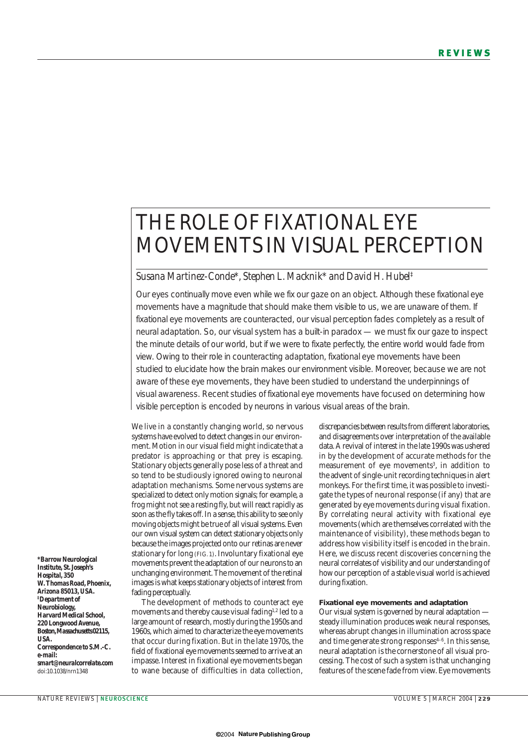# THE ROLE OF FIXATIONAL EYE MOVEMENTS IN VISUAL PERCEPTION

# *Susana Martinez-Conde\*, Stephen L. Macknik\* and David H. Hubel‡*

Our eyes continually move even while we fix our gaze on an object. Although these fixational eye movements have a magnitude that should make them visible to us, we are unaware of them. If fixational eye movements are counteracted, our visual perception fades completely as a result of neural adaptation. So, our visual system has a built-in paradox — we must fix our gaze to inspect the minute details of our world, but if we were to fixate perfectly, the entire world would fade from view. Owing to their role in counteracting adaptation, fixational eye movements have been studied to elucidate how the brain makes our environment visible. Moreover, because we are not aware of these eye movements, they have been studied to understand the underpinnings of visual awareness. Recent studies of fixational eye movements have focused on determining how visible perception is encoded by neurons in various visual areas of the brain.

We live in a constantly changing world, so nervous systems have evolved to detect changes in our environment. Motion in our visual field might indicate that a predator is approaching or that prey is escaping. Stationary objects generally pose less of a threat and so tend to be studiously ignored owing to neuronal adaptation mechanisms. Some nervous systems are specialized to detect only motion signals; for example, a frog might not see a resting fly, but will react rapidly as soon as the fly takes off. In a sense, this ability to see only moving objects might be true of all visual systems. Even our own visual system can detect stationary objects only because the images projected onto our retinas are never stationary for long (FIG. 1). Involuntary fixational eye movements prevent the adaptation of our neurons to an unchanging environment. The movement of the retinal images is what keeps stationary objects of interest from fading perceptually.

The development of methods to counteract eye movements and thereby cause visual fading<sup>1,2</sup> led to a large amount of research, mostly during the 1950s and 1960s, which aimed to characterize the eye movements that occur during fixation. But in the late 1970s, the field of fixational eye movements seemed to arrive at an impasse. Interest in fixational eye movements began to wane because of difficulties in data collection,

discrepancies between results from different laboratories, and disagreements over interpretation of the available data. A revival of interest in the late 1990s was ushered in by the development of accurate methods for the measurement of eye movements<sup>3</sup>, in addition to the advent of single-unit recording techniques in alert monkeys. For the first time, it was possible to investigate the types of neuronal response (if any) that are generated by eye movements during visual fixation. By correlating neural activity with fixational eye movements (which are themselves correlated with the maintenance of visibility), these methods began to address how visibility itself is encoded in the brain. Here, we discuss recent discoveries concerning the neural correlates of visibility and our understanding of how our perception of a stable visual world is achieved during fixation.

# **Fixational eye movements and adaptation**

Our visual system is governed by neural adaptation steady illumination produces weak neural responses, whereas abrupt changes in illumination across space and time generate strong responses $4-6$ . In this sense, neural adaptation is the cornerstone of all visual processing. The cost of such a system is that unchanging features of the scene fade from view. Eye movements

*\*Barrow Neurological Institute, St. Joseph's Hospital, 350 W. Thomas Road, Phoenix, Arizona 85013, USA. ‡ Department of Neurobiology, Harvard Medical School, 220 Longwood Avenue, Boston,Massachusetts 02115, USA. Correspondence to S.M.-C. e-mail: smart@neuralcorrelate.com* doi:10.1038/nrn1348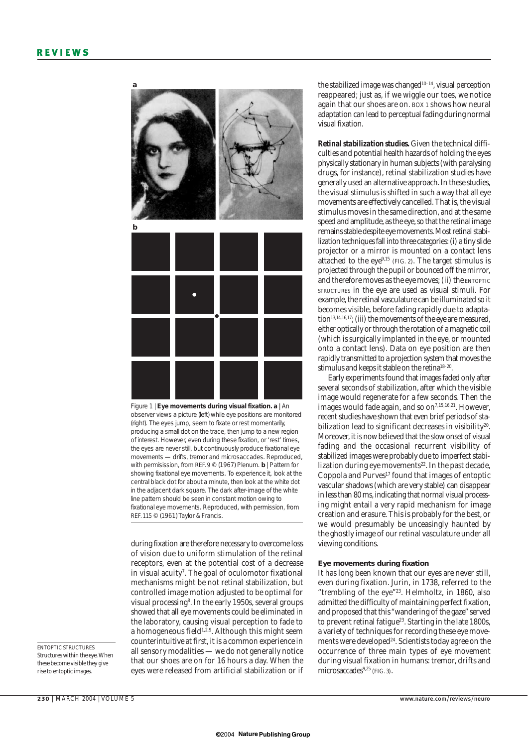

Figure 1 | **Eye movements during visual fixation. a** | An observer views a picture (left) while eye positions are monitored (right). The eyes jump, seem to fixate or rest momentarily, producing a small dot on the trace, then jump to a new region of interest. However, even during these fixation, or 'rest' times, the eyes are never still, but continuously produce fixational eye movements — drifts, tremor and microsaccades. Reproduced with permisission, from REF. 9 © (1967) Plenum. **b** | Pattern for showing fixational eye movements. To experience it, look at the central black dot for about a minute, then look at the white dot in the adjacent dark square. The dark after-image of the white line pattern should be seen in constant motion owing to fixational eye movements. Reproduced, with permission, from REF. 115 © (1961) Taylor & Francis.

during fixation are therefore necessary to overcome loss of vision due to uniform stimulation of the retinal receptors, even at the potential cost of a decrease in visual acuity<sup>7</sup>. The goal of oculomotor fixational mechanisms might be not retinal stabilization, but controlled image motion adjusted to be optimal for visual processing<sup>8</sup>. In the early 1950s, several groups showed that all eye movements could be eliminated in the laboratory, causing visual perception to fade to a homogeneous field $1,2,9$ . Although this might seem counterintuitive at first, it is a common experience in all sensory modalities — we do not generally notice that our shoes are on for 16 hours a day. When the eyes were released from artificial stabilization or if

ENTOPTIC STRUCTURES Structures within the eye. When these become visible they give rise to entoptic images.

the stabilized image was changed $10-14$ , visual perception reappeared; just as, if we wiggle our toes, we notice again that our shoes are on. BOX 1 shows how neural adaptation can lead to perceptual fading during normal visual fixation.

*Retinal stabilization studies.* Given the technical difficulties and potential health hazards of holding the eyes physically stationary in human subjects (with paralysing drugs, for instance), retinal stabilization studies have generally used an alternative approach. In these studies, the visual stimulus is shifted in such a way that all eye movements are effectively cancelled. That is, the visual stimulus moves in the same direction, and at the same speed and amplitude, as the eye, so that the retinal image remains stable despite eye movements. Most retinal stabilization techniques fall into three categories: (i) a tiny slide projector or a mirror is mounted on a contact lens attached to the eye $9,15$  (FIG. 2). The target stimulus is projected through the pupil or bounced off the mirror, and therefore moves as the eye moves; (ii) the ENTOPTIC STRUCTURES in the eye are used as visual stimuli. For example, the retinal vasculature can be illuminated so it becomes visible, before fading rapidly due to adapta- $\text{tion}^{13,14,16,17}$ ; (iii) the movements of the eye are measured, either optically or through the rotation of a magnetic coil (which is surgically implanted in the eye, or mounted onto a contact lens). Data on eye position are then rapidly transmitted to a projection system that moves the stimulus and keeps it stable on the retina18–20.

Early experiments found that images faded only after several seconds of stabilization, after which the visible image would regenerate for a few seconds. Then the images would fade again, and so on<sup>7,15,16,21</sup>. However, recent studies have shown that even brief periods of stabilization lead to significant decreases in visibility<sup>20</sup>. Moreover, it is now believed that the slow onset of visual fading and the occasional recurrent visibility of stabilized images were probably due to imperfect stabilization during eye movements $^{22}$ . In the past decade, Coppola and  $Purves<sup>17</sup>$  found that images of entoptic vascular shadows (which are very stable) can disappear in less than 80 ms, indicating that normal visual processing might entail a very rapid mechanism for image creation and erasure. This is probably for the best, or we would presumably be unceasingly haunted by the ghostly image of our retinal vasculature under all viewing conditions.

## **Eye movements during fixation**

It has long been known that our eyes are never still, even during fixation. Jurin, in 1738, referred to the "trembling of the eye"23. Helmholtz, in 1860, also admitted the difficulty of maintaining perfect fixation, and proposed that this "wandering of the gaze" served to prevent retinal fatigue<sup>23</sup>. Starting in the late 1800s, a variety of techniques for recording these eye movements were developed<sup>24</sup>. Scientists today agree on the occurrence of three main types of eye movement during visual fixation in humans: tremor, drifts and microsaccades<sup>9,25</sup> (FIG. 3).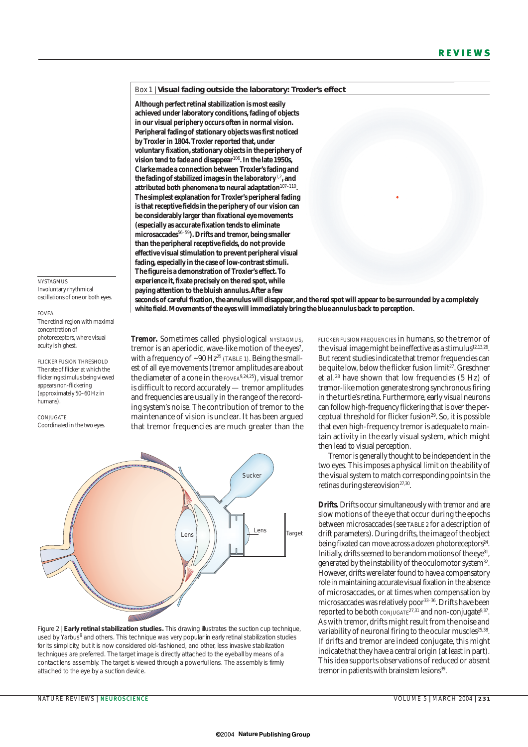# Box 1 | **Visual fading outside the laboratory: Troxler's effect**

**Although perfect retinal stabilization is most easily achieved under laboratory conditions, fading of objects in our visual periphery occurs often in normal vision. Peripheral fading of stationary objects was first noticed by Troxler in 1804. Troxler reported that, under voluntary fixation, stationary objects in the periphery of vision tend to fade and disappear**<sup>106</sup>**. In the late 1950s, Clarke made a connection between Troxler's fading and the fading of stabilized images in the laboratory**1,2**, and attributed both phenomena to neural adaptation**107–110**. The simplest explanation for Troxler's peripheral fading is that receptive fields in the periphery of our vision can be considerably larger than fixational eye movements (especially as accurate fixation tends to eliminate microsaccades**56–59**). Drifts and tremor, being smaller than the peripheral receptive fields, do not provide effective visual stimulation to prevent peripheral visual fading, especially in the case of low-contrast stimuli. The figure is a demonstration of Troxler's effect. To experience it, fixate precisely on the red spot, while paying attention to the bluish annulus. After a few**

NYSTAGMUS Involuntary rhythmical oscillations of one or both eyes.

#### FOVEA

The retinal region with maximal concentration of photoreceptors, where visual acuity is highest.

FLICKER FUSION THRESHOLD The rate of flicker at which the flickering stimulus being viewed appears non-flickering (approximately 50–60 Hz in humans).

**CONJUGATE** Coordinated in the two eyes. **seconds of careful fixation, the annulus will disappear, and the red spot will appear to be surrounded by a completely white field. Movements of the eyes will immediately bring the blue annulus back to perception.**

**Tremor.** Sometimes called physiological NYSTAGMUS, tremor is an aperiodic, wave-like motion of the eyes<sup>7</sup>, with a frequency of  $\sim$ 90 Hz<sup>25</sup> (TABLE 1). Being the smallest of all eye movements (tremor amplitudes are about the diameter of a cone in the  $F\text{o}$ <sub>24,25</sub>), visual tremor is difficult to record accurately — tremor amplitudes and frequencies are usually in the range of the recording system's noise. The contribution of tremor to the maintenance of vision is unclear. It has been argued that tremor frequencies are much greater than the



Figure 2 | **Early retinal stabilization studies.** This drawing illustrates the suction cup technique, used by Yarbus<sup>9</sup> and others. This technique was very popular in early retinal stabilization studies for its simplicity, but it is now considered old-fashioned, and other, less invasive stabilization techniques are preferred. The target image is directly attached to the eyeball by means of a contact lens assembly. The target is viewed through a powerful lens. The assembly is firmly attached to the eye by a suction device.

FLICKER FUSION FREQUENCIES in humans, so the tremor of the visual image might be ineffective as a stimulus $12,13,26$ . But recent studies indicate that tremor frequencies can be quite low, below the flicker fusion limit<sup>27</sup>. Greschner *et al.*<sup>28</sup> have shown that low frequencies (5 Hz) of tremor-like motion generate strong synchronous firing in the turtle's retina. Furthermore, early visual neurons can follow high-frequency flickering that is over the perceptual threshold for flicker fusion<sup>29</sup>. So, it is possible that even high-frequency tremor is adequate to maintain activity in the early visual system, which might then lead to visual perception.

Tremor is generally thought to be independent in the two eyes. This imposes a physical limit on the ability of the visual system to match corresponding points in the retinas during stereovision<sup>27,30</sup>.

*Drifts.* Drifts occur simultaneously with tremor and are slow motions of the eye that occur during the epochs between microsaccades (see TABLE 2 for a description of drift parameters). During drifts, the image of the object being fixated can move across a dozen photoreceptors<sup>24</sup>. Initially, drifts seemed to be random motions of the eye<sup>31</sup>, generated by the instability of the oculomotor system<sup>32</sup>. However, drifts were later found to have a compensatory role in maintaining accurate visual fixation in the absence of microsaccades, or at times when compensation by microsaccades was relatively poor<sup>33-36</sup>. Drifts have been reported to be both  $\overline{\text{convGATE}}^{27,31}$  and non-conjugate<sup>9,37</sup>. As with tremor, drifts might result from the noise and variability of neuronal firing to the ocular muscles<sup>25,38</sup>. If drifts and tremor are indeed conjugate, this might indicate that they have a central origin (at least in part). This idea supports observations of reduced or absent tremor in patients with brainstem lesions<sup>39</sup>.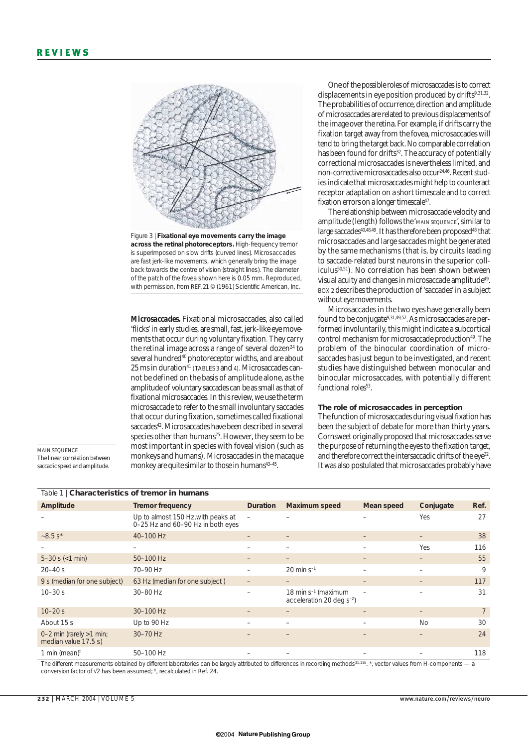

Figure 3 | **Fixational eye movements carry the image across the retinal photoreceptors.** High-frequency tremor is superimposed on slow drifts (curved lines). Microsaccades are fast jerk-like movements, which generally bring the image back towards the centre of vision (straight lines). The diameter of the patch of the fovea shown here is 0.05 mm. Reproduced, with permission, from REF. 21 © (1961) Scientific American, Inc.

*Microsaccades.* Fixational microsaccades, also called 'flicks' in early studies, are small, fast, jerk-like eye movements that occur during voluntary fixation.They carry the retinal image across a range of several dozen<sup>24</sup> to several hundred<sup>40</sup> photoreceptor widths, and are about 25 ms in duration<sup>41</sup> (TABLES 3 and 4). Microsaccades cannot be defined on the basis of amplitude alone, as the amplitude of voluntary saccades can be as small as that of fixational microsaccades. In this review, we use the term microsaccade to refer to the small involuntary saccades that occur during fixation, sometimes called fixational saccades<sup>42</sup>. Microsaccades have been described in several species other than humans<sup>25</sup>. However, they seem to be most important in species with foveal vision (such as monkeys and humans). Microsaccades in the macaque monkey are quite similar to those in humans<sup>43-45</sup>.

MAIN SEQUENCE The linear correlation between saccadic speed and amplitude.

One of the possible roles of microsaccades is to correct displacements in eye position produced by drifts $9,31,32$ . The probabilities of occurrence, direction and amplitude of microsaccades are related to previous displacements of the image over the retina. For example, if drifts carry the fixation target away from the fovea, microsaccades will tend to bring the target back. No comparable correlation has been found for drifts<sup>32</sup>. The accuracy of potentially correctional microsaccades is nevertheless limited, and non-corrective microsaccades also occur<sup>24,46</sup>. Recent studies indicate that microsaccades might help to counteract receptor adaptation on a short timescale and to correct fixation errors on a longer timescale<sup>47</sup>.

The relationship between microsaccade velocity and amplitude (length) follows the 'MAIN SEQUENCE', similar to large saccades<sup>40,48,49</sup>. It has therefore been proposed<sup>48</sup> that microsaccades and large saccades might be generated by the same mechanisms (that is, by circuits leading to saccade-related burst neurons in the superior colliculus<sup>50,51</sup>). No correlation has been shown between visual acuity and changes in microsaccade amplitude<sup>49</sup>. BOX 2 describes the production of 'saccades' in a subject without eye movements.

Microsaccades in the two eyes have generally been found to be conjugate<sup>9,31,49,52</sup>. As microsaccades are performed involuntarily, this might indicate a subcortical control mechanism for microsaccade production<sup>49</sup>. The problem of the binocular coordination of microsaccades has just begun to be investigated, and recent studies have distinguished between monocular and binocular microsaccades, with potentially different functional roles<sup>53</sup>.

### **The role of microsaccades in perception**

The function of microsaccades during visual fixation has been the subject of debate for more than thirty years. Cornsweet originally proposed that microsaccades serve the purpose of returning the eyes to the fixation target, and therefore correct the intersaccadic drifts of the eye<sup>32</sup>. Itwas also postulated that microsaccades probably have

| <b>Characteristics of tremor in humans</b><br>Table 1 |                                                                         |          |                                                                   |                   |           |                |  |  |
|-------------------------------------------------------|-------------------------------------------------------------------------|----------|-------------------------------------------------------------------|-------------------|-----------|----------------|--|--|
| Amplitude                                             | <b>Tremor frequency</b>                                                 | Duration | <b>Maximum speed</b>                                              | Mean speed        | Conjugate | Ref.           |  |  |
|                                                       | Up to almost 150 Hz, with peaks at<br>0-25 Hz and 60-90 Hz in both eyes |          |                                                                   |                   | Yes       | 27             |  |  |
| $-8.5s$ <sup>*</sup>                                  | 40-100 Hz                                                               |          |                                                                   |                   |           | 38             |  |  |
|                                                       |                                                                         |          |                                                                   |                   | Yes       | 116            |  |  |
| $5 - 30$ s (<1 min)                                   | 50-100 Hz                                                               |          |                                                                   |                   |           | 55             |  |  |
| $20 - 40s$                                            | 70-90 Hz                                                                |          | $20 \text{ min } s^{-1}$                                          |                   |           | 9              |  |  |
| 9 s (median for one subject)                          | 63 Hz (median for one subject)                                          |          | $-$                                                               | $\qquad \qquad -$ |           | 117            |  |  |
| $10 - 30s$                                            | 30-80 Hz                                                                |          | 18 min s <sup>-1</sup> (maximum<br>acceleration 20 deg $s^{-2}$ ) |                   |           | 31             |  |  |
| $10 - 20s$                                            | 30-100 Hz                                                               |          | -                                                                 |                   |           | $\overline{7}$ |  |  |
| About 15 s                                            | Up to 90 Hz                                                             |          |                                                                   |                   | <b>No</b> | 30             |  |  |
| $0-2$ min (rarely >1 min;<br>median value 17.5 s)     | $30 - 70$ Hz                                                            |          |                                                                   |                   | -         | 24             |  |  |
| 1 min (mean) $‡$                                      | 50-100 Hz                                                               |          |                                                                   |                   |           | 118            |  |  |

The different measurements obtained by different laboratories can be largely attributed to differences in recording methods<sup>31,116</sup>. \*, vector values from H-components — a conversion factor of √2 has been assumed; ‡ , recalculated in Ref. 24.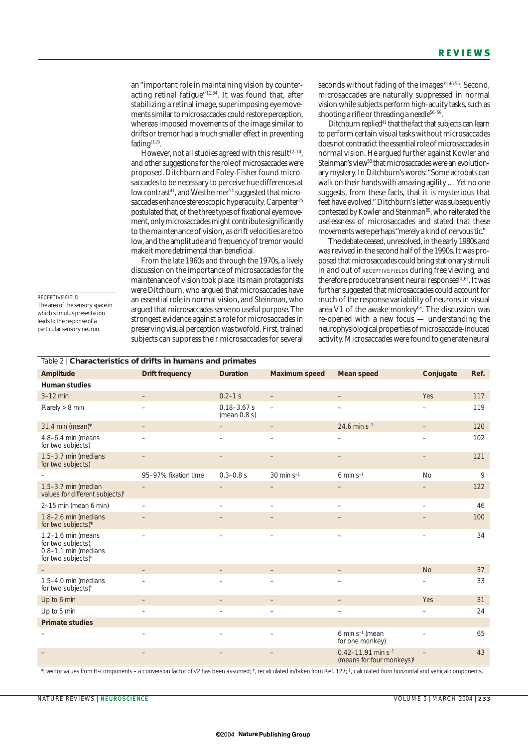an "important role in maintaining vision by counteracting retinal fatigue"11,34. It was found that, after stabilizing a retinal image, superimposing eye movements similar to microsaccades could restore perception, whereas imposed movements of the image similar to drifts or tremor had a much smaller effect in preventing fading<sup>11,25</sup>.

However, not all studies agreed with this result<sup>12-14</sup>, and other suggestions for the role of microsaccades were proposed. Ditchburn and Foley-Fisher found microsaccades to be necessary to perceive hue differences at low contrast<sup>41</sup>, and Westheimer<sup>54</sup> suggested that microsaccades enhance stereoscopic hyperacuity. Carpenter<sup>25</sup> postulated that, of the three types of fixational eye movement, only microsaccades might contribute significantly to the maintenance of vision, as drift velocities are too low, and the amplitude and frequency of tremor would make it more detrimental than beneficial.

From the late 1960s and through the 1970s, a lively discussion on the importance of microsaccades for the maintenance of vision took place. Its main protagonists were Ditchburn, who argued that microsaccades have an essential role in normal vision, and Steinman, who argued that microsaccades serve no useful purpose. The strongest evidence against a role for microsaccades in preserving visual perception was twofold. First, trained subjects can suppress their microsaccades for several seconds without fading of the images<sup>35,46,55</sup>. Second, microsaccades are naturally suppressed in normal vision while subjects perform high-acuity tasks, such as shooting a rifle or threading a needle $56-59$ .

Ditchburn replied<sup>41</sup> that the fact that subjects can learn to perform certain visual tasks without microsaccades does not contradict the essential role of microsaccades in normal vision. He argued further against Kowler and Steinman's view<sup>58</sup> that microsaccades were an evolutionary mystery. In Ditchburn's words:"Some acrobats can walk on their hands with amazing agility ... Yet no one suggests, from these facts, that it is mysterious that feet have evolved." Ditchburn's letter was subsequently contested by Kowler and Steinman<sup>60</sup>, who reiterated the uselessness of microsaccades and stated that these movements were perhaps "merely a kind of nervous tic."

The debate ceased, unresolved, in the early 1980s and was revived in the second half of the 1990s. It was proposed that microsaccades could bring stationary stimuli in and out of RECEPTIVE FIELDS during free viewing, and therefore produce transient neural responses $61,62$ . It was further suggested that microsaccades could account for much of the response variability of neurons in visual area V1 of the awake monkey<sup>63</sup>. The discussion was re-opened with a new focus — understanding the neurophysiological properties of microsaccade-induced activity. Microsaccades were found to generate neural

| Table 2   Characteristics of drifts in humans and primates                                             |                          |                                 |                          |                                                                             |                   |      |  |  |  |
|--------------------------------------------------------------------------------------------------------|--------------------------|---------------------------------|--------------------------|-----------------------------------------------------------------------------|-------------------|------|--|--|--|
| Amplitude                                                                                              | <b>Drift frequency</b>   | <b>Duration</b>                 | Maximum speed            | <b>Mean speed</b>                                                           | Conjugate         | Ref. |  |  |  |
| Human studies                                                                                          |                          |                                 |                          |                                                                             |                   |      |  |  |  |
| $3-12$ min                                                                                             | $\qquad \qquad -$        | $0.2 - 1s$                      | $\overline{\phantom{m}}$ | -                                                                           | Yes               | 117  |  |  |  |
| Rarely $> 8$ min                                                                                       |                          | $0.18 - 3.67$ s<br>(mean 0.8 s) | $\overline{\phantom{0}}$ |                                                                             |                   | 119  |  |  |  |
| 31.4 min (mean)*                                                                                       | $\qquad \qquad -$        | $\equiv$                        | $\qquad \qquad -$        | $24.6$ min s <sup>-1</sup>                                                  | $\qquad \qquad -$ | 120  |  |  |  |
| 4.8-6.4 min (means<br>for two subjects)                                                                | $\equiv$                 |                                 | $\equiv$                 |                                                                             |                   | 102  |  |  |  |
| 1.5-3.7 min (medians<br>for two subjects)                                                              |                          |                                 | $\qquad \qquad -$        |                                                                             |                   | 121  |  |  |  |
|                                                                                                        | 95-97% fixation time     | $0.3 - 0.8 s$                   | $30$ min s <sup>-1</sup> | 6 min $S^{-1}$                                                              | <b>No</b>         | 9    |  |  |  |
| $1.5 - 3.7$ min (median<br>values for different subjects) <sup>#</sup>                                 |                          |                                 |                          |                                                                             |                   | 122  |  |  |  |
| 2-15 min (mean 6 min)                                                                                  | $\equiv$                 |                                 | $\overline{\phantom{0}}$ |                                                                             |                   | 46   |  |  |  |
| 1.8-2.6 min (medians<br>for two subjects)*                                                             |                          |                                 |                          |                                                                             |                   | 100  |  |  |  |
| $1.2 - 1.6$ min (means<br>for two subjects);<br>0.8-1.1 min (medians<br>for two subjects) <sup>#</sup> | $\equiv$                 |                                 |                          |                                                                             |                   | 34   |  |  |  |
|                                                                                                        |                          |                                 |                          | $\qquad \qquad -$                                                           | <b>No</b>         | 37   |  |  |  |
| 1.5-4.0 min (medians<br>for two subjects) <sup>#</sup>                                                 |                          |                                 | $\overline{\phantom{0}}$ |                                                                             |                   | 33   |  |  |  |
| Up to 6 min                                                                                            | $\qquad \qquad -$        | $\qquad \qquad -$               | $\qquad \qquad -$        | $\qquad \qquad -$                                                           | Yes               | 31   |  |  |  |
| Up to 5 min                                                                                            | $\overline{\phantom{0}}$ | $\qquad \qquad -$               | $\overline{\phantom{0}}$ |                                                                             |                   | 24   |  |  |  |
| <b>Primate studies</b>                                                                                 |                          |                                 |                          |                                                                             |                   |      |  |  |  |
|                                                                                                        |                          |                                 | $\overline{\phantom{0}}$ | $6$ min $s^{-1}$ (mean<br>for one monkey)                                   |                   | 65   |  |  |  |
|                                                                                                        |                          |                                 |                          | $0.42 - 11.91$ min s <sup>-1</sup><br>(means for four monkeys) <sup>§</sup> |                   | 43   |  |  |  |

\*, vector values from H-components – a conversion factor of √2 has been assumed; ‡, recalculated in/taken from Ref. 127; §, calculated from horizontal and vertical components.

RECEPTIVE FIELD The area of the sensory space in which stimulus presentation leads to the response of a particular sensory neuron.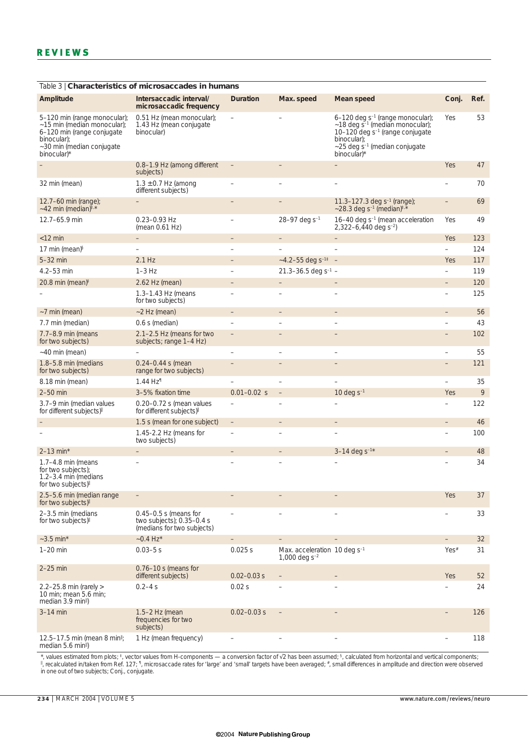| Table 3   Characteristics of microsaccades in humans                                                                                                 |                                                                                      |                          |                                                                |                                                                                                                                                                                                                                            |                          |      |  |  |
|------------------------------------------------------------------------------------------------------------------------------------------------------|--------------------------------------------------------------------------------------|--------------------------|----------------------------------------------------------------|--------------------------------------------------------------------------------------------------------------------------------------------------------------------------------------------------------------------------------------------|--------------------------|------|--|--|
| Amplitude                                                                                                                                            | Intersaccadic interval/<br>microsaccadic frequency                                   | <b>Duration</b>          | Max. speed                                                     | <b>Mean speed</b>                                                                                                                                                                                                                          | Conj.                    | Ref. |  |  |
| 5-120 min (range monocular);<br>~15 min (median monocular);<br>6-120 min (range conjugate<br>binocular);<br>~30 min (median conjugate<br>binocular)* | 0.51 Hz (mean monocular);<br>1.43 Hz (mean conjugate<br>binocular)                   | $\overline{\phantom{a}}$ |                                                                | 6-120 deg s <sup>-1</sup> (range monocular);<br>$~18$ deg s <sup><math>-1</math></sup> (median monocular);<br>10-120 deg s <sup>-1</sup> (range conjugate<br>binocular);<br>$\sim$ 25 deg s <sup>-1</sup> (median conjugate<br>binocular)* | Yes                      | 53   |  |  |
|                                                                                                                                                      | 0.8-1.9 Hz (among different<br>subjects)                                             | $\overline{\phantom{a}}$ | $\overline{\phantom{m}}$                                       |                                                                                                                                                                                                                                            | Yes                      | 47   |  |  |
| 32 min (mean)                                                                                                                                        | $1.3 \pm 0.7$ Hz (among<br>different subjects)                                       | $\overline{\phantom{0}}$ |                                                                |                                                                                                                                                                                                                                            |                          | 70   |  |  |
| $12.7 - 60$ min (range);<br>$-42$ min (median) <sup><math>#</math></sup>                                                                             |                                                                                      | $\overline{\phantom{0}}$ |                                                                | 11.3-127.3 deg $s^{-1}$ (range);<br>~28.3 deg s <sup>-1</sup> (median) <sup><math>\pm</math>,7</sup>                                                                                                                                       |                          | 69   |  |  |
| 12.7-65.9 min                                                                                                                                        | $0.23 - 0.93$ Hz<br>(mean $0.61$ Hz)                                                 |                          | 28-97 deg $S^{-1}$                                             | 16-40 deg s <sup>-1</sup> (mean acceleration<br>2,322-6,440 deg $s^{-2}$ )                                                                                                                                                                 | Yes                      | 49   |  |  |
| $<$ 12 min                                                                                                                                           | $\qquad \qquad -$                                                                    |                          | $\qquad \qquad -$                                              | $\overline{\phantom{0}}$                                                                                                                                                                                                                   | <b>Yes</b>               | 123  |  |  |
| 17 min (mean) <sup>§</sup>                                                                                                                           | $\overline{\phantom{0}}$                                                             | $\overline{\phantom{0}}$ |                                                                |                                                                                                                                                                                                                                            | $\overline{\phantom{a}}$ | 124  |  |  |
| $5-32$ min                                                                                                                                           | 2.1 Hz                                                                               | $\qquad \qquad -$        | $-4.2 - 55$ deg s <sup>-1‡</sup> -                             |                                                                                                                                                                                                                                            | <b>Yes</b>               | 117  |  |  |
| 4.2-53 min                                                                                                                                           | $1 - 3$ Hz                                                                           | $\overline{\phantom{0}}$ | $21.3 - 36.5$ deg s <sup>-1</sup> -                            |                                                                                                                                                                                                                                            | $\overline{\phantom{a}}$ | 119  |  |  |
| 20.8 min (mean) $‡$                                                                                                                                  | 2.62 Hz (mean)                                                                       | $\overline{\phantom{m}}$ | $\overline{\phantom{a}}$                                       | $\overline{\phantom{a}}$                                                                                                                                                                                                                   | $\overline{\phantom{0}}$ | 120  |  |  |
|                                                                                                                                                      | 1.3-1.43 Hz (means<br>for two subjects)                                              | $\overline{\phantom{0}}$ | $\overline{\phantom{0}}$                                       | $\overline{\phantom{0}}$                                                                                                                                                                                                                   | $\overline{\phantom{0}}$ | 125  |  |  |
| $~1$ min (mean)                                                                                                                                      | $\sim$ 2 Hz (mean)                                                                   | $\overline{\phantom{a}}$ | $\overline{\phantom{a}}$                                       | $\overline{\phantom{a}}$                                                                                                                                                                                                                   | $\overline{\phantom{a}}$ | 56   |  |  |
| 7.7 min (median)                                                                                                                                     | $0.6$ s (median)                                                                     | $\overline{\phantom{0}}$ |                                                                |                                                                                                                                                                                                                                            |                          | 43   |  |  |
| 7.7-8.9 min (means<br>for two subjects)                                                                                                              | 2.1-2.5 Hz (means for two<br>subjects; range 1-4 Hz)                                 | $\overline{\phantom{m}}$ | $\overline{\phantom{m}}$                                       | $\overline{\phantom{0}}$                                                                                                                                                                                                                   | $\qquad \qquad -$        | 102  |  |  |
| $~10$ min (mean)                                                                                                                                     |                                                                                      | $\overline{\phantom{0}}$ | $\overline{\phantom{0}}$                                       | $\equiv$                                                                                                                                                                                                                                   | $\overline{\phantom{0}}$ | 55   |  |  |
| 1.8-5.8 min (medians<br>for two subjects)                                                                                                            | $0.24 - 0.44$ s (mean<br>range for two subjects)                                     |                          |                                                                |                                                                                                                                                                                                                                            |                          | 121  |  |  |
| 8.18 min (mean)                                                                                                                                      | $1.44$ Hz <sup>11</sup>                                                              |                          |                                                                |                                                                                                                                                                                                                                            |                          | 35   |  |  |
| $2-50$ min                                                                                                                                           | 3-5% fixation time                                                                   | $0.01 - 0.02$ s          | $\overline{\phantom{a}}$                                       | $10$ deg s <sup>-1</sup>                                                                                                                                                                                                                   | <b>Yes</b>               | 9    |  |  |
| 3.7-9 min (median values<br>for different subjects)                                                                                                  | $0.20 - 0.72$ s (mean values<br>for different subjects)                              | $\overline{\phantom{0}}$ |                                                                |                                                                                                                                                                                                                                            |                          | 122  |  |  |
|                                                                                                                                                      | 1.5 s (mean for one subject)                                                         | $\overline{\phantom{a}}$ | $\qquad \qquad -$                                              | $\overline{\phantom{a}}$                                                                                                                                                                                                                   | $\overline{\phantom{a}}$ | 46   |  |  |
|                                                                                                                                                      | 1.45-2.2 Hz (means for<br>two subjects)                                              | $\overline{\phantom{0}}$ | L.                                                             |                                                                                                                                                                                                                                            | $\overline{\phantom{0}}$ | 100  |  |  |
| $2-13$ min <sup>*</sup>                                                                                                                              | $\qquad \qquad -$                                                                    | $\qquad \qquad -$        | $\qquad \qquad -$                                              | $3-14$ deg s <sup>-1*</sup>                                                                                                                                                                                                                | $\qquad \qquad -$        | 48   |  |  |
| 1.7-4.8 min (means<br>for two subjects);<br>1.2-3.4 min (medians<br>for two subjects)                                                                |                                                                                      |                          |                                                                |                                                                                                                                                                                                                                            |                          | 34   |  |  |
| 2.5-5.6 min (median range<br>for two subjects)                                                                                                       | $\overline{\phantom{0}}$                                                             | $\overline{\phantom{m}}$ | $\overline{\phantom{m}}$                                       | $\overline{\phantom{m}}$                                                                                                                                                                                                                   | Yes                      | 37   |  |  |
| 2-3.5 min (medians<br>for two subjects)                                                                                                              | $0.45-0.5$ s (means for<br>two subjects); $0.35-0.4$ s<br>(medians for two subjects) | $\qquad \qquad -$        |                                                                |                                                                                                                                                                                                                                            |                          | 33   |  |  |
| $~-3.5$ min <sup>*</sup>                                                                                                                             | $-0.4$ Hz <sup>*</sup>                                                               | $\overline{\phantom{a}}$ |                                                                |                                                                                                                                                                                                                                            | $\overline{\phantom{a}}$ | 32   |  |  |
| $1-20$ min                                                                                                                                           | $0.03 - 5s$                                                                          | 0.025s                   | Max. acceleration 10 deg s <sup>-1</sup><br>1,000 deg $S^{-2}$ |                                                                                                                                                                                                                                            | Yes                      | 31   |  |  |
| $2-25$ min                                                                                                                                           | $0.76 - 10$ s (means for<br>different subjects)                                      | $0.02 - 0.03$ s          | $\overline{\phantom{a}}$                                       |                                                                                                                                                                                                                                            | Yes                      | 52   |  |  |
| 2.2–25.8 min (rarely $>$<br>10 min; mean 5.6 min;<br>median 3.9 min <sup>il</sup> )                                                                  | $0.2 - 4s$                                                                           | 0.02s                    | ÷,                                                             | $\overline{\phantom{0}}$                                                                                                                                                                                                                   |                          | 24   |  |  |
| $3-14$ min                                                                                                                                           | $1.5-2$ Hz (mean<br>frequencies for two<br>subjects)                                 | $0.02 - 0.03$ s          | $\overline{\phantom{a}}$                                       |                                                                                                                                                                                                                                            |                          | 126  |  |  |
| 12.5-17.5 min (mean 8 min <sup>  </sup> ;<br>median 5.6 min <sup>ll</sup> )                                                                          | 1 Hz (mean frequency)                                                                |                          | $\qquad \qquad -$                                              | $\qquad \qquad -$                                                                                                                                                                                                                          | $\qquad \qquad -$        | 118  |  |  |

\*, values estimated from plots; ‡, vector values from H-components — a conversion factor of √2 has been assumed; §, calculated from horizontal and vertical components;<br><sup>II</sup>, recalculated in/taken from Ref. 127; <sup>¶</sup>, micros in one out of two subjects; Conj., conjugate.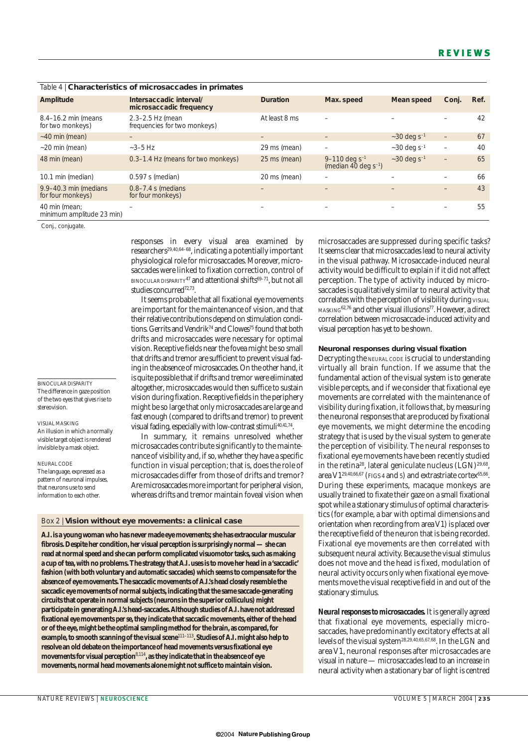# Table 4 | **Characteristics of microsaccades in primates**

| Amplitude                                   | Intersaccadic interval/<br>microsaccadic frequency | <b>Duration</b> | Max. speed                                                 | Mean speed                    | Conj.                    | Ref. |  |  |  |
|---------------------------------------------|----------------------------------------------------|-----------------|------------------------------------------------------------|-------------------------------|--------------------------|------|--|--|--|
| 8.4-16.2 min (means<br>for two monkeys)     | 2.3-2.5 Hz (mean<br>frequencies for two monkeys)   | At least 8 ms   |                                                            |                               |                          | 42   |  |  |  |
| $~10$ min (mean)                            |                                                    |                 |                                                            | $\sim$ 30 deg s <sup>-1</sup> | $\qquad \qquad -$        | 67   |  |  |  |
| $~1$ -20 min (mean)                         | $-3-5$ Hz                                          | 29 ms (mean)    |                                                            | $~1$ - 30 deg s <sup>-1</sup> | $\overline{\phantom{0}}$ | 40   |  |  |  |
| 48 min (mean)                               | 0.3-1.4 Hz (means for two monkeys)                 | 25 ms (mean)    | $9 - 110$ deg s <sup>-1</sup><br>(median 40 deg $s^{-1}$ ) | $~1$ - 30 deg s <sup>-1</sup> | $\qquad \qquad =$        | 65   |  |  |  |
| 10.1 min (median)                           | $0.597$ s (median)                                 | 20 ms (mean)    |                                                            |                               |                          | 66   |  |  |  |
| 9.9-40.3 min (medians)<br>for four monkeys) | $0.8 - 7.4$ s (medians<br>for four monkeys)        |                 |                                                            |                               |                          | 43   |  |  |  |
| 40 min (mean:<br>minimum amplitude 23 min)  |                                                    |                 |                                                            |                               |                          | 55   |  |  |  |

Conj., conjugate.

BINOCULAR DISPARITY The difference in gaze position of the two eyes that gives rise to

An illusion in which a normally visible target object is rendered invisible by a mask object.

stereovision. VISUAL MASKING

NEURAL CODE The language, expressed as a pattern of neuronal impulses, that neurons use to send information to each other.

researchers29,40,64–68, indicating a potentially important physiological role for microsaccades. Moreover, microsaccades were linked to fixation correction, control of  $\textsc{binocular}$ DISPARITY<sup>47</sup> and attentional shifts<sup>69–71</sup>, but not all studies concurred<sup>72,73</sup>.

responses in every visual area examined by

It seems probable that all fixational eye movements are important for the maintenance of vision, and that their relative contributions depend on stimulation conditions. Gerrits and Vendrik<sup>74</sup> and Clowes<sup>75</sup> found that both drifts and microsaccades were necessary for optimal vision. Receptive fields near the fovea might be so small that drifts and tremor are sufficient to prevent visual fading in the absence of microsaccades. On the other hand, it is quite possible that if drifts and tremor were eliminated altogether, microsaccades would then suffice to sustain vision during fixation. Receptive fields in the periphery might be so large that only microsaccades are large and fast enough (compared to drifts and tremor) to prevent visual fading, especially with low-contrast stimuli<sup>40,41,74</sup>.

In summary, it remains unresolved whether microsaccades contribute significantly to the maintenance of visibility and, if so, whether they have a specific function in visual perception; that is, does the role of microsaccades differ from those of drifts and tremor? Are microsaccades more important for peripheral vision, whereas drifts and tremor maintain foveal vision when

# Box 2 | **Vision without eye movements: a clinical case**

**A.I. is a young woman who has never made eye movements; she has extraocular muscular fibrosis. Despite her condition, her visual perception is surprisingly normal — she can read at normal speed and she can perform complicated visuomotor tasks, such as making a cup of tea, with no problems. The strategy that A.I. uses is to move her head in a 'saccadic' fashion (with both voluntary and automatic saccades) which seems to compensate for the absence of eye movements. The saccadic movements of A.I.'s head closely resemble the saccadic eye movements of normal subjects, indicating that the same saccade-generating circuits that operate in normal subjects (neurons in the superior colliculus) might participate in generating A.I.'s head-saccades.Although studies of A.I. have not addressed fixational eye movements** *per se***, they indicate that saccadic movements, either of the head or of the eye, might be the optimal sampling method for the brain, as compared, for example, to smooth scanning of the visual scene**111–113**. Studies of A.I. might also help to resolve an old debate on the importance of head movements versus fixational eye movements for visual perception**8,114**, as they indicate that in the absence of eye movements, normal head movements alone might not suffice to maintain vision.**

microsaccades are suppressed during specific tasks? It seems clear that microsaccades lead to neural activity in the visual pathway. Microsaccade-induced neural activity would be difficult to explain if it did not affect perception. The type of activity induced by microsaccades is qualitatively similar to neural activity that correlates with the perception of visibility during VISUAL MASKING<sup>62,76</sup> and other visual illusions<sup>77</sup>. However, a direct correlation between microsaccade-induced activity and visual perception has yet to be shown.

## **Neuronal responses during visual fixation**

Decrypting the NEURAL CODE is crucial to understanding virtually all brain function. If we assume that the fundamental action of the visual system is to generate visible percepts, and if we consider that fixational eye movements are correlated with the maintenance of visibility during fixation, it follows that, by measuring the neuronal responses that are produced by fixational eye movements, we might determine the encoding strategy that is used by the visual system to generate the perception of visibility. The neural responses to fixational eye movements have been recently studied in the retina<sup>28</sup>, lateral geniculate nucleus  $(LGN)^{29,68}$ , area V1<sup>29,40,66,67</sup> (FIGS 4 and 5) and extrastriate cortex<sup>65,66</sup>. During these experiments, macaque monkeys are usually trained to fixate their gaze on a small fixational spot while a stationary stimulus of optimal characteristics (for example, a bar with optimal dimensions and orientation when recording from area V1) is placed over the receptive field of the neuron that is being recorded. Fixational eye movements are then correlated with subsequent neural activity. Because the visual stimulus does not move and the head is fixed, modulation of neural activity occurs only when fixational eye movements move the visual receptive field in and out of the stationary stimulus.

*Neural responses to microsaccades.*It is generally agreed that fixational eye movements, especially microsaccades, have predominantly excitatory effects at all levels of the visual system28,29,40,65,67,68. In the LGN and area V1, neuronal responses after microsaccades are visual in nature — microsaccades lead to an increase in neural activity when a stationary bar of light is centred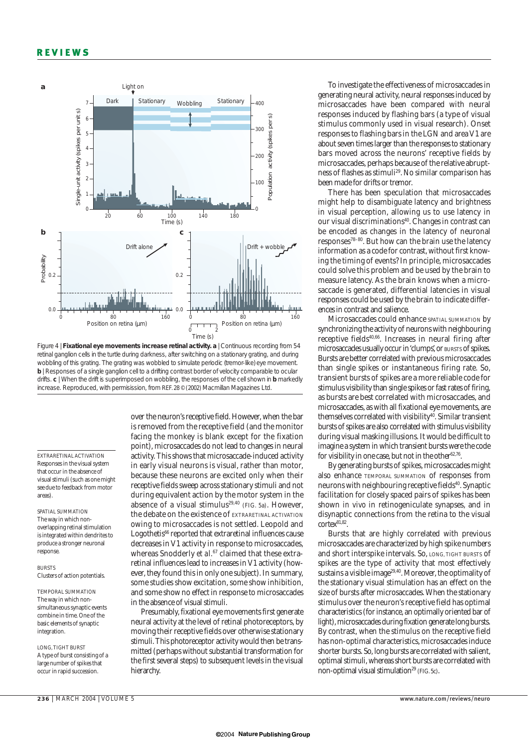# REVIEWS



Figure 4 | **Fixational eye movements increase retinal activity. a** | Continuous recording from 54 retinal ganglion cells in the turtle during darkness, after switching on a stationary grating, and during wobbling of this grating. The grating was wobbled to simulate periodic (tremor-like) eye movement. **b** | Responses of a single ganglion cell to a drifting contrast border of velocity comparable to ocular drifts. **c** | When the drift is superimposed on wobbling, the responses of the cell shown in **b** markedly increase. Reproduced, with permisission, from REF. 28 © (2002) Macmillan Magazines Ltd.

EXTRARETINAL ACTIVATION Responses in the visual system that occur in the absence of visual stimuli (such as one might see due to feedback from motor areas).

SPATIAL SUMMATION The way in which nonoverlapping retinal stimulation is integrated within dendrites to produce a stronger neuronal response.

#### BURSTS Clusters of action potentials.

TEMPORAL SUMMATION The way in which nonsimultaneous synaptic events combine in time. One of the basic elements of synaptic integration.

LONG, TIGHT BURST A type of burst consisting of a large number of spikes that occur in rapid succession.

is removed from the receptive field (and the monitor facing the monkey is blank except for the fixation point), microsaccades do not lead to changes in neural activity. This shows that microsaccade-induced activity in early visual neurons is visual, rather than motor, because these neurons are excited only when their receptive fields sweep across stationary stimuli and not during equivalent action by the motor system in the absence of a visual stimulus<sup>29,40</sup> (FIG. 5a). However, the debate on the existence of EXTRARETINAL ACTIVATION owing to microsaccades is not settled. Leopold and Logothetis<sup>66</sup> reported that extraretinal influences cause decreases in V1 activity in response to microsaccades, whereas Snodderly *et al.*<sup>67</sup> claimed that these extraretinal influences lead to increases in V1 activity (however, they found this in only one subject). In summary, some studies show excitation, some show inhibition, and some show no effect in response to microsaccades in the absence of visual stimuli.

over the neuron's receptive field. However, when the bar

Presumably, fixational eye movements first generate neural activity at the level of retinal photoreceptors, by moving their receptive fields over otherwise stationary stimuli. This photoreceptor activity would then be transmitted (perhaps without substantial transformation for the first several steps) to subsequent levels in the visual hierarchy.

To investigate the effectiveness of microsaccades in generating neural activity, neural responses induced by microsaccades have been compared with neural responses induced by flashing bars (a type of visual stimulus commonly used in visual research). Onset responses to flashing bars in the LGN and area V1 are about seven times larger than the responses to stationary bars moved across the neurons' receptive fields by microsaccades, perhaps because of the relative abruptness of flashes as stimuli29. No similar comparison has been made for drifts or tremor.

There has been speculation that microsaccades might help to disambiguate latency and brightness in visual perception, allowing us to use latency in our visual discriminations<sup>40</sup>. Changes in contrast can be encoded as changes in the latency of neuronal responses78–80. But how can the brain use the latency information as a code for contrast, without first knowing the timing of events? In principle, microsaccades could solve this problem and be used by the brain to measure latency. As the brain knows when a microsaccade is generated, differential latencies in visual responses could be used by the brain to indicate differences in contrast and salience.

Microsaccades could enhance SPATIAL SUMMATION by synchronizing the activity of neurons with neighbouring receptive fields<sup>40,66</sup>. Increases in neural firing after microsaccades usually occur in 'clumps', or BURSTS of spikes. Bursts are better correlated with previous microsaccades than single spikes or instantaneous firing rate. So, transient bursts of spikes are a more reliable code for stimulus visibility than single spikes or fast rates of firing, as bursts are best correlated with microsaccades, and microsaccades, as with all fixational eye movements, are themselves correlated with visibility<sup>40</sup>. Similar transient bursts of spikes are also correlated with stimulus visibility during visual masking illusions. It would be difficult to imagine a system in which transient bursts were the code for visibility in one case, but not in the other $62,76$ .

By generating bursts of spikes, microsaccades might also enhance TEMPORAL SUMMATION of responses from neurons with neighbouring receptive fields<sup>40</sup>. Synaptic facilitation for closely spaced pairs of spikes has been shown *in vivo* in retinogeniculate synapses, and in disynaptic connections from the retina to the visual cortex81,82.

Bursts that are highly correlated with previous microsaccades are characterized by high spike numbers and short interspike intervals. So, LONG, TIGHT BURSTS of spikes are the type of activity that most effectively sustains a visible image<sup>29,40</sup>. Moreover, the optimality of the stationary visual stimulation has an effect on the size of bursts after microsaccades. When the stationary stimulus over the neuron's receptive field has optimal characteristics (for instance, an optimally oriented bar of light), microsaccades during fixation generate long bursts. By contrast, when the stimulus on the receptive field has non-optimal characteristics, microsaccades induce shorter bursts. So, long bursts are correlated with salient, optimal stimuli, whereas short bursts are correlated with non-optimal visual stimulation<sup>29</sup> (FIG. 5c).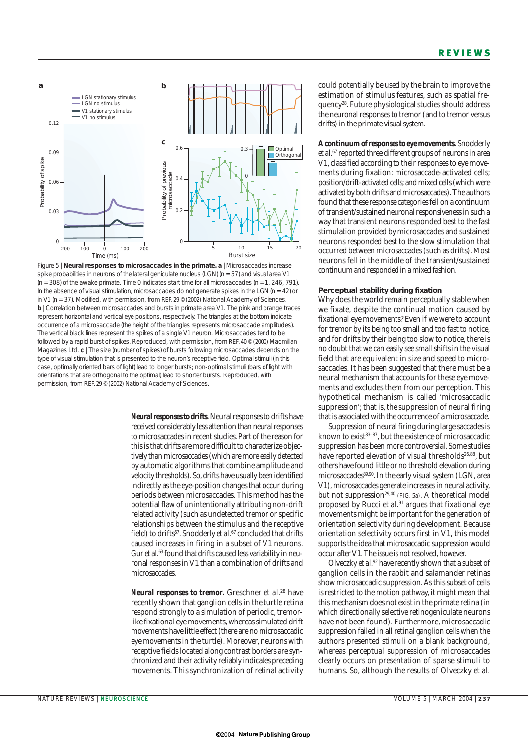

Figure 5 | **Neural responses to microsaccades in the primate. a** | Microsaccades increase spike probabilities in neurons of the lateral geniculate nucleus (LGN) (*n* = 57) and visual area V1 (*n* = 308) of the awake primate. Time 0 indicates start time for all microsaccades (*n* = 1, 246, 791). In the absence of visual stimulation, microsaccades do not generate spikes in the LGN (*n* = 42) or in V1 (*n* = 37). Modified, with permission, from REF. 29 © (2002) National Academy of Sciences. **b** | Correlation between microsaccades and bursts in primate area V1. The pink and orange traces represent horizontal and vertical eye positions, respectively. The triangles at the bottom indicate occurrence of a microsaccade (the height of the triangles represents microsaccade amplitudes). The vertical black lines represent the spikes of a single V1 neuron. Microsaccades tend to be followed by a rapid burst of spikes. Reproduced, with permission, from REF. 40 © (2000) Macmillan Magazines Ltd. **c** | The size (number of spikes) of bursts following microsaccades depends on the type of visual stimulation that is presented to the neuron's receptive field. Optimal stimuli (in this case, optimally oriented bars of light) lead to longer bursts; non-optimal stimuli (bars of light with orientations that are orthogonal to the optimal) lead to shorter bursts. Reproduced, with permission, from REF. 29 © (2002) National Academy of Sciences.

*Neural responses to drifts.* Neural responses to drifts have received considerably less attention than neural responses to microsaccades in recent studies. Part of the reason for this is that drifts are more difficult to characterize objectively than microsaccades (which are more easily detected by automatic algorithms that combine amplitude and velocity thresholds). So, drifts have usually been identified indirectly as the eye-position changes that occur during periods between microsaccades. This method has the potential flaw of unintentionally attributing non-drift related activity (such as undetected tremor or specific relationships between the stimulus and the receptive field) to drifts<sup>67</sup>. Snodderly *et al.*<sup>67</sup> concluded that drifts caused increases in firing in a subset of V1 neurons. Gur *et al.*<sup>63</sup> found that drifts caused less variability in neuronal responses in V1 than a combination of drifts and microsaccades.

*Neural responses to tremor.* Greschner *et al.*<sup>28</sup> have recently shown that ganglion cells in the turtle retina respond strongly to a simulation of periodic, tremorlike fixational eye movements, whereas simulated drift movements have little effect (there are no microsaccadic eye movements in the turtle). Moreover, neurons with receptive fields located along contrast borders are synchronized and their activity reliably indicates preceding movements. This synchronization of retinal activity could potentially be used by the brain to improve the estimation of stimulus features, such as spatial frequency28. Future physiological studies should address the neuronal responses to tremor (and to tremor versus drifts) in the primate visual system.

*A continuum of responses to eye movements.* Snodderly *et al.*<sup>67</sup> reported three different groups of neurons in area V1, classified according to their responses to eye movements during fixation: microsaccade-activated cells; position/drift-activated cells; and mixed cells (which were activated by both drifts and microsaccades). The authors found that these response categories fell on a continuum of transient/sustained neuronal responsiveness in such a way that transient neurons responded best to the fast stimulation provided by microsaccades and sustained neurons responded best to the slow stimulation that occurred between microsaccades (such as drifts). Most neurons fell in the middle of the transient/sustained continuum and responded in a mixed fashion.

## **Perceptual stability during fixation**

Why does the world remain perceptually stable when we fixate, despite the continual motion caused by fixational eye movements? Even if we were to account for tremor by its being too small and too fast to notice, and for drifts by their being too slow to notice, there is no doubt that we can easily see small shifts in the visual field that are equivalent in size and speed to microsaccades. It has been suggested that there must be a neural mechanism that accounts for these eye movements and excludes them from our perception. This hypothetical mechanism is called 'microsaccadic suppression'; that is, the suppression of neural firing that is associated with the occurrence of a microsaccade.

Suppression of neural firing during large saccades is known to exist $83-87$ , but the existence of microsaccadic suppression has been more controversial. Some studies have reported elevation of visual thresholds<sup>26,88</sup>, but others have found little or no threshold elevation during microsaccades<sup>89,90</sup>. In the early visual system (LGN, area V1), microsaccades generate increases in neural activity, but not suppression<sup>29,40</sup> (FIG. 5a). A theoretical model proposed by Rucci *et al.*<sup>91</sup> argues that fixational eye movements might be important for the generation of orientation selectivity during development. Because orientation selectivity occurs first in V1, this model supports the idea that microsaccadic suppression would occur after V1. The issue is not resolved, however.

Olveczky *et al.*<sup>92</sup> have recently shown that a subset of ganglion cells in the rabbit and salamander retinas show microsaccadic suppression. As this subset of cells is restricted to the motion pathway, it might mean that this mechanism does not exist in the primate retina (in which directionally selective retinogeniculate neurons have not been found). Furthermore, microsaccadic suppression failed in all retinal ganglion cells when the authors presented stimuli on a blank background, whereas perceptual suppression of microsaccades clearly occurs on presentation of sparse stimuli to humans. So, although the results of Olveczky *et al.*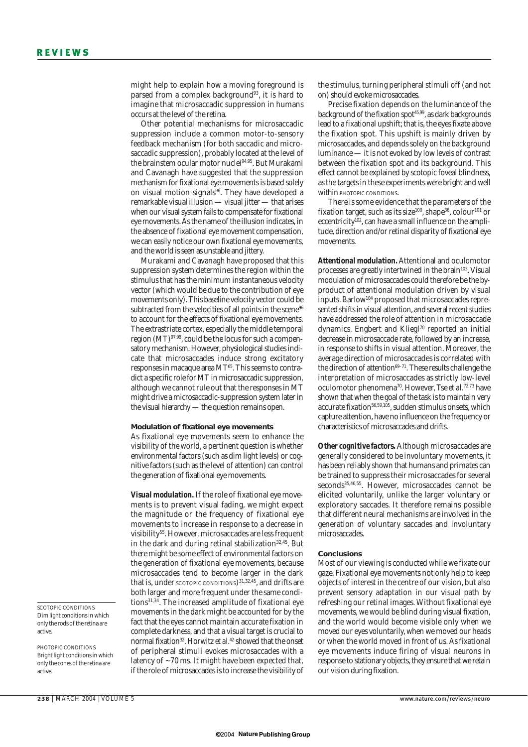might help to explain how a moving foreground is parsed from a complex background<sup>93</sup>, it is hard to imagine that microsaccadic suppression in humans occurs at the level of the retina.

Other potential mechanisms for microsaccadic suppression include a common motor-to-sensory feedback mechanism (for both saccadic and microsaccadic suppression), probably located at the level of the brainstem ocular motor nuclei94,95. But Murakami and Cavanagh have suggested that the suppression mechanism for fixational eye movements is based solely on visual motion signals<sup>96</sup>. They have developed a remarkable visual illusion — visual jitter — that arises when our visual system fails to compensate for fixational eye movements. As the name of the illusion indicates, in the absence of fixational eye movement compensation, we can easily notice our own fixational eye movements, and the world is seen as unstable and jittery.

Murakami and Cavanagh have proposed that this suppression system determines the region within the stimulus that has the minimum instantaneous velocity vector (which would be due to the contribution of eye movements only). This baseline velocity vector could be subtracted from the velocities of all points in the scene<sup>96</sup> to account for the effects of fixational eye movements. The extrastriate cortex, especially the middle temporal region (MT)<sup>97,98</sup>, could be the locus for such a compensatory mechanism. However, physiological studies indicate that microsaccades induce strong excitatory responses in macaque area MT<sup>65</sup>. This seems to contradict a specific role for MT in microsaccadic suppression, although we cannot rule out that the responses in MT might drive a microsaccadic-suppression system later in the visual hierarchy — the question remains open.

#### **Modulation of fixational eye movements**

As fixational eye movements seem to enhance the visibility of the world, a pertinent question is whether environmental factors (such as dim light levels) or cognitive factors (such as the level of attention) can control the generation of fixational eye movements.

*Visual modulation.* If the role of fixational eye movements is to prevent visual fading, we might expect the magnitude or the frequency of fixational eye movements to increase in response to a decrease in visibility<sup>55</sup>. However, microsaccades are less frequent in the dark and during retinal stabilization<sup>32,45</sup>. But there might be some effect of environmental factors on the generation of fixational eye movements, because microsaccades tend to become larger in the dark that is, under  $score$  conditions)<sup>31,32,45</sup>, and drifts are both larger and more frequent under the same conditions<sup>31,34</sup>. The increased amplitude of fixational eye movements in the dark might be accounted for by the fact that the eyes cannot maintain accurate fixation in complete darkness, and that a visual target is crucial to normal fixation32. Horwitz *et al.*<sup>42</sup> showed that the onset of peripheral stimuli evokes microsaccades with a latency of  $\sim$ 70 ms. It might have been expected that, if the role of microsaccades is to increase the visibility of

the stimulus, turning peripheral stimuli off (and not on) should evoke microsaccades.

Precise fixation depends on the luminance of the background of the fixation spot<sup>45,99</sup>, as dark backgrounds lead to a fixational upshift; that is, the eyes fixate above the fixation spot. This upshift is mainly driven by microsaccades, and depends solely on the background luminance — it is not evoked by low levels of contrast between the fixation spot and its background. This effect cannot be explained by scotopic foveal blindness, as the targets in these experiments were bright and well within PHOTOPIC CONDITIONS.

There is some evidence that the parameters of the fixation target, such as its size<sup>100</sup>, shape<sup>36</sup>, colour<sup>101</sup> or eccentricity<sup>102</sup>, can have a small influence on the amplitude, direction and/or retinal disparity of fixational eye movements.

*Attentional modulation.* Attentional and oculomotor processes are greatly intertwined in the brain<sup>103</sup>. Visual modulation of microsaccades could therefore be the byproduct of attentional modulation driven by visual inputs. Barlow104 proposed that microsaccades represented shifts in visual attention, and several recent studies have addressed the role of attention in microsaccade dynamics. Engbert and Kliegl<sup>70</sup> reported an initial decrease in microsaccade rate, followed by an increase, in response to shifts in visual attention. Moreover, the average direction of microsaccades is correlated with the direction of attention $69-71$ . These results challenge the interpretation of microsaccades as strictly low-level oculomotor phenomena70. However, Tse *et al.*72,73 have shown that when the goal of the task is to maintain very accurate fixation<sup>56,59,105</sup>, sudden stimulus onsets, which capture attention, have no influence on the frequency or characteristics of microsaccades and drifts.

*Other cognitive factors.* Although microsaccades are generally considered to be involuntary movements, it has been reliably shown that humans and primates can be trained to suppress their microsaccades for several seconds<sup>35,46,55</sup>. However, microsaccades cannot be elicited voluntarily, unlike the larger voluntary or exploratory saccades. It therefore remains possible that different neural mechanisms are involved in the generation of voluntary saccades and involuntary microsaccades.

### **Conclusions**

Most of our viewing is conducted while we fixate our gaze. Fixational eye movements not only help to keep objects of interest in the centre of our vision, but also prevent sensory adaptation in our visual path by refreshing our retinal images. Without fixational eye movements, we would be blind during visual fixation, and the world would become visible only when we moved our eyes voluntarily, when we moved our heads or when the world moved in front of us. As fixational eye movements induce firing of visual neurons in response to stationary objects, they ensure that we retain our vision during fixation.

SCOTOPIC CONDITIONS Dim light conditions in which only the rods of the retina are active.

PHOTOPIC CONDITIONS Bright light conditions in which only the cones of the retina are active.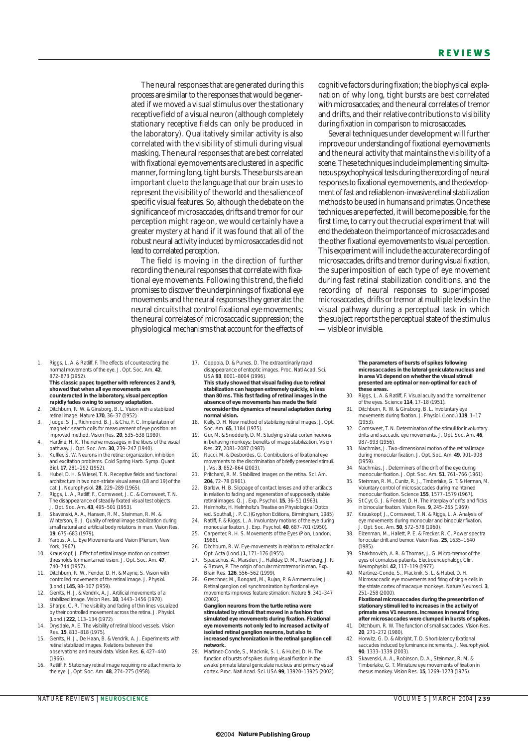The neural responses that are generated during this process are similar to the responses that would be generated if we moved a visual stimulus over the stationary receptive field of a visual neuron (although completely stationary receptive fields can only be produced in the laboratory). Qualitatively similar activity is also correlated with the visibility of stimuli during visual masking. The neural responses that are best correlated with fixational eye movements are clustered in a specific manner, forming long, tight bursts. These bursts are an important clue to the language that our brain uses to represent the visibility of the world and the salience of specific visual features. So, although the debate on the significance of microsaccades, drifts and tremor for our perception might rage on, we would certainly have a greater mystery at hand if it was found that all of the robust neural activity induced by microsaccades did not lead to correlated perception.

The field is moving in the direction of further recording the neural responses that correlate with fixational eye movements. Following this trend, the field promises to discover the underpinnings of fixational eye movements and the neural responses they generate: the neural circuits that control fixational eye movements; the neural correlates of microsaccadic suppression; the physiological mechanisms that account for the effects of cognitive factors during fixation; the biophysical explanation of why long, tight bursts are best correlated with microsaccades; and the neural correlates of tremor and drifts, and their relative contributions to visibility during fixation in comparison to microsaccades.

Several techniques under development will further improve our understanding of fixational eye movements and the neural activity that maintains the visibility of a scene. These techniques include implementing simultaneous psychophysical tests during the recording of neural responses to fixational eye movements, and the development of fast and reliable non-invasive retinal stabilization methods to be used in humans and primates. Once these techniques are perfected, it will become possible, for the first time, to carry out the crucial experiment that will end the debate on the importance of microsaccades and the other fixational eye movements to visual perception. This experiment will include the accurate recording of microsaccades, drifts and tremor during visual fixation, the superimposition of each type of eye movement during fast retinal stabilization conditions, and the recording of neural responses to superimposed microsaccades, drifts or tremor at multiple levels in the visual pathway during a perceptual task in which the subject reports the perceptual state of the stimulus — visible or invisible.

Riggs, L. A. & Ratliff, F. The effects of counteracting the normal movements of the eye. *J. Opt. Soc. Am.* **42**, 872–873 (1952).

**This classic paper, together with references 2 and 9, showed that when all eye movements are counteracted in the laboratory, visual perception rapidly fades owing to sensory adaptation.**

- 2. Ditchburn, R. W. & Ginsborg, B. L. Vision with a stabilized retinal image. *Nature* **170**, 36–37 (1952).
- 3. Judge, S. J., Richmond, B. J. & Chu, F. C. Implantation of magnetic search coils for measurement of eye position: an improved method. *Vision Res.* **20**, 535–538 (1980).
- 4. Hartline, H. K. The nerve messages in the fibers of the visual pathway. *J. Opt. Soc. Am.* **30**, 239–247 (1940).
- 5. Kuffler, S. W. Neurons in the retina: organization, inhibition and excitation problems. *Cold Spring Harb. Symp. Quant. Biol.* **17**, 281–292 (1952).
- 6. Hubel, D. H. & Wiesel, T. N. Receptive fields and functional architecture in two non-striate visual areas (18 and 19) of the cat. *J. Neurophysiol.* **28**, 229–289 (1965).
- 7. Riggs, L. A., Ratliff, F., Cornsweet, J. C. & Cornsweet, T. N. The disappearance of steadily fixated visual test objects. *J. Opt. Soc. Am.* **43**, 495–501 (1953).
- 8. Skavenski, A. A., Hansen, R. M., Steinman, R. M. & Winterson, B. J. Quality of retinal image stabilization during small natural and artificial body rotations in man. *Vision Res.* **19**, 675–683 (1979).
- 9. Yarbus, A. L. *Eye Movements and Vision* (Plenum, New York, 1967).
- 10. Krauskopf, J. Effect of retinal image motion on contrast thresholds for maintained vision. *J. Opt. Soc. Am.* **47**, 740–744 (1957).
- 11. Ditchburn, R. W., Fender, D. H. & Mayne, S. Vision with controlled movements of the retinal image. *J. Physiol. (Lond.)* **145**, 98–107 (1959).
- 12. Gerrits, H. J. & Vendrik, A. J. Artificial movements of a stabilized image. *Vision Res.* **10**, 1443–1456 (1970).
- 13. Sharpe, C. R. The visibility and fading of thin lines visualized by their controlled movement across the retina. *J. Physiol.*
- *(Lond.)* **222**, 113–134 (1972). 14. Drysdale, A. E. The visibility of retinal blood vessels. *Vision Res.* **15**, 813–818 (1975).
- 15. Gerrits, H. J., De Haan, B. & Vendrik, A. J. Experiments with retinal stabilized images. Relations between the observations and neural data. *Vision Res.* **6**, 427–440 (1966).
- 16. Ratliff, F. Stationary retinal image requiring no attachments to the eye. *J. Opt. Soc. Am.* **48**, 274–275 (1958).

17. Coppola, D. & Purves, D. The extraordinarily rapid disappearance of entoptic images. *Proc. Natl Acad. Sci. USA* **93**, 8001–8004 (1996).

**This study showed that visual fading due to retinal stabilization can happen extremely quickly, in less than 80 ms. This fast fading of retinal images in the absence of eye movements has made the field reconsider the dynamics of neural adaptation during normal vision.**

- 18. Kelly, D. H. New method of stabilizing retinal images. *J. Opt. Soc. Am.* **65**, 1184 (1975).
- 19. Gur, M. & Snodderly, D. M. Studying striate cortex neurons in behaving monkeys: benefits of image stabilization. *Vision Res.* **27**, 2081–2087 (1987).
- 20. Rucci, M. & Desbordes, G. Contributions of fixational eye movements to the discrimination of briefly presented stimuli. *J. Vis.* **3**, 852–864 (2003).
- 21. Pritchard, R. M. Stabilized images on the retina. *Sci. Am.* **204**, 72–78 (1961).
- 22. Barlow, H. B. Slippage of contact lenses and other artifacts in relation to fading and regeneration of supposedly stable retinal images. *Q. J. Exp. Psychol.* **15**, 36–51 (1963).
- 23. Helmholtz, H. *Helmholtz's Treatise on Physiological Optics* (ed. Southall, J. P. C.) (Gryphon Editions, Birmingham, 1985).
- 24. Ratliff, F. & Riggs, L. A. Involuntary motions of the eye during monocular fixation. *J. Exp. Psychol.* **40**, 687–701 (1950).
- 25. Carpenter, R. H. S. *Movements of the Eyes* (Pion, London, 1988).
- 26. Ditchburn, R. W. Eye-movements in relation to retinal action. *Opt. Acta (Lond.)* **1**, 171–176 (1955).
- 27. Spauschus, A., Marsden, J., Halliday, D. M., Rosenberg, J. R. & Brown, P. The origin of ocular microtremor in man. *Exp. Brain Res.* **126**, 556–562 (1999).
- 28. Greschner, M., Bongard, M., Rujan, P. & Ammermuller, J. Retinal ganglion cell synchronization by fixational eye movements improves feature stimation. *Nature* **5**, 341–347 (2002).
	- **Ganglion neurons from the turtle retina were stimulated by stimuli that moved in a fashion that simulated eye movements during fixation. Fixational eye movements not only led to increased activity of isolated retinal ganglion neurons, but also to increased synchronization in the retinal ganglion cell network.**
- 29. Martinez-Conde, S., Macknik, S. L. & Hubel, D. H. The function of bursts of spikes during visual fixation in the awake primate lateral geniculate nucleus and primary visual cortex. *Proc. Natl Acad. Sci. USA* **99**, 13920–13925 (2002).

**The parameters of bursts of spikes following microsaccades in the lateral geniculate nucleus and in area V1 depend on whether the visual stimuli presented are optimal or non-optimal for each of these areas.**

- 30. Riggs, L. A. & Ratliff, F. Visual acuity and the normal tremor of the eyes. *Science* **114**, 17–18 (1951).
- 31. Ditchburn, R. W. & Ginsborg, B. L. Involuntary eye movements during fixation. *J. Physiol. (Lond.)* **119**, 1–17 (1953).
- 32. Cornsweet, T. N. Determination of the stimuli for involuntary drifts and saccadic eye movements. *J. Opt. Soc. Am.* **46**, 987–993 (1956).
- 33. Nachmias, J. Two-dimensional motion of the retinal image during monocular fixation. *J. Opt. Soc. Am.* **49**, 901–908 (1959).
- 34. Nachmias, J. Determiners of the drift of the eye during
- monocular fixation. *J. Opt. Soc. Am.* **51**, 761–766 (1961). 35. Steinman, R. M., Cunitz, R. J., Timberlake, G. T. & Herman, M. Voluntary control of microsaccades during maintained monocular fixation. *Science* **155**, 1577–1579 (1967).
- 36. St Cyr, G. J. & Fender, D. H. The interplay of drifts and flicks in binocular fixation. *Vision Res.* **9**, 245–265 (1969).
- 37. Krauskopf, J., Cornsweet, T. N. & Riggs, L. A. Analysis of eye movements during monocular and binocular fixation. *J. Opt. Soc. Am.* **50**, 572–578 (1960).
- 38. Eizenman, M., Hallett, P. E. & Frecker, R. C. Power spectra for ocular drift and tremor. *Vision Res.* **25**, 1635–1640 (1985).
- 39. Shakhnovich, A. R. & Thomas, J. G. Micro-tremor of the eyes of comatose patients. *Electroencephalogr. Clin.*
- *Neurophysiol.* **42**, 117–119 (1977). 40. Martinez-Conde, S., Macknik, S. L. & Hubel, D. H. Microsaccadic eye movements and firing of single cells in the striate cortex of macaque monkeys. *Nature Neurosci.* **3**, 251–258 (2000).
- **Fixational microsaccades during the presentation of stationary stimuli led to increases in the activity of primate area V1 neurons. Increases in neural firing after microsaccades were clumped in bursts of spikes.** 41. Ditchburn, R. W. The function of small saccades. *Vision Res.*
- **20**, 271–272 (1980). 42. Horwitz, G. D. & Albright, T. D. Short-latency fixational
- saccades induced by luminance increments. *J. Neurophysiol.* **90**, 1333–1339 (2003).
- 43. Skavenski, A. A., Robinson, D. A., Steinman, R. M. & Timberlake, G. T. Miniature eye movements of fixation in rhesus monkey. *Vision Res.* **15**, 1269–1273 (1975).